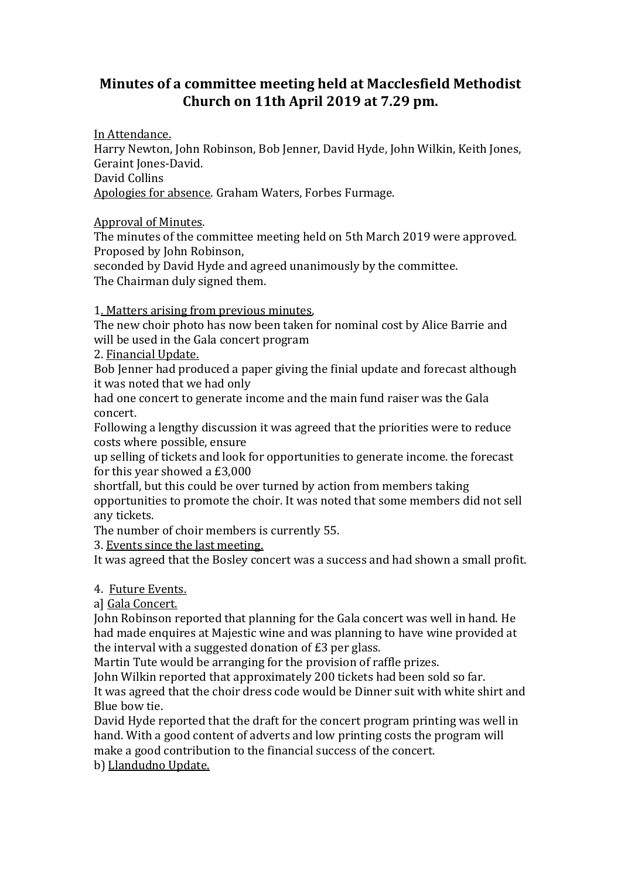## **Minutes of a committee meeting held at Macclesfield Methodist Church on 11th April 2019 at 7.29 pm.**

In Attendance.

Harry Newton, John Robinson, Bob Jenner, David Hyde, John Wilkin, Keith Jones, Geraint Jones-David. David Collins Apologies for absence. Graham Waters, Forbes Furmage.

Approval of Minutes.

The minutes of the committee meeting held on 5th March 2019 were approved. Proposed by John Robinson,

seconded by David Hyde and agreed unanimously by the committee. The Chairman duly signed them.

1. Matters arising from previous minutes,

The new choir photo has now been taken for nominal cost by Alice Barrie and will be used in the Gala concert program

2. Financial Update.

Bob Jenner had produced a paper giving the finial update and forecast although it was noted that we had only

had one concert to generate income and the main fund raiser was the Gala concert.

Following a lengthy discussion it was agreed that the priorities were to reduce costs where possible, ensure

up selling of tickets and look for opportunities to generate income. the forecast for this year showed a £3,000

shortfall, but this could be over turned by action from members taking opportunities to promote the choir. It was noted that some members did not sell any tickets.

The number of choir members is currently 55.

3. Events since the last meeting.

It was agreed that the Bosley concert was a success and had shown a small profit.

4. Future Events.

a] Gala Concert.

John Robinson reported that planning for the Gala concert was well in hand. He had made enquires at Majestic wine and was planning to have wine provided at the interval with a suggested donation of £3 per glass.

Martin Tute would be arranging for the provision of raffle prizes.

John Wilkin reported that approximately 200 tickets had been sold so far. It was agreed that the choir dress code would be Dinner suit with white shirt and

Blue bow tie.

David Hyde reported that the draft for the concert program printing was well in hand. With a good content of adverts and low printing costs the program will make a good contribution to the financial success of the concert.

b) Llandudno Update.